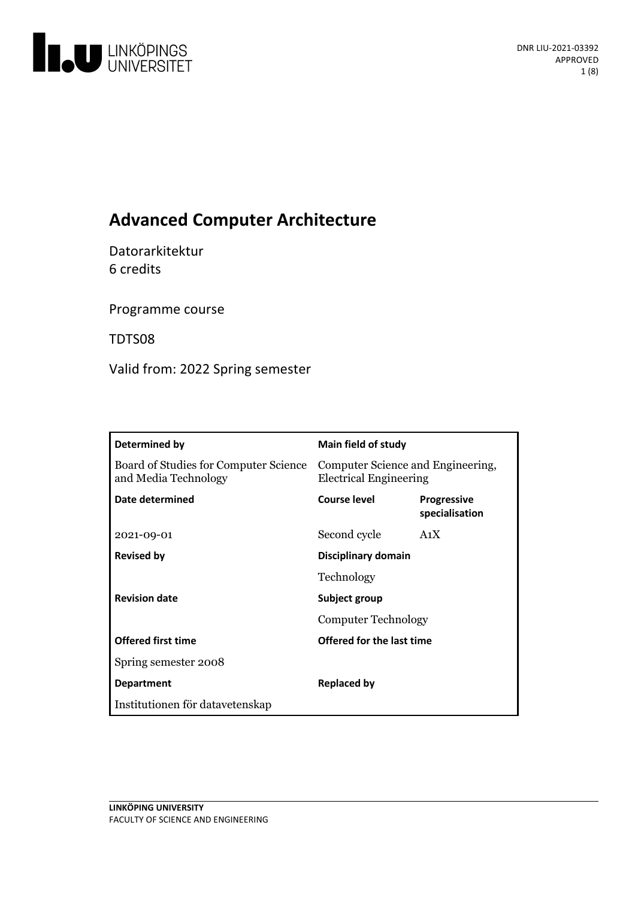

# **Advanced Computer Architecture**

Datorarkitektur 6 credits

Programme course

TDTS08

Valid from: 2022 Spring semester

| Determined by                                                 | Main field of study                                                |                                      |
|---------------------------------------------------------------|--------------------------------------------------------------------|--------------------------------------|
| Board of Studies for Computer Science<br>and Media Technology | Computer Science and Engineering,<br><b>Electrical Engineering</b> |                                      |
| Date determined                                               | Course level                                                       | <b>Progressive</b><br>specialisation |
| 2021-09-01                                                    | Second cycle                                                       | A <sub>1</sub> X                     |
| <b>Revised by</b>                                             | <b>Disciplinary domain</b>                                         |                                      |
|                                                               | Technology                                                         |                                      |
| <b>Revision date</b>                                          | Subject group                                                      |                                      |
|                                                               | Computer Technology                                                |                                      |
| <b>Offered first time</b>                                     | Offered for the last time                                          |                                      |
| Spring semester 2008                                          |                                                                    |                                      |
| <b>Department</b>                                             | <b>Replaced by</b>                                                 |                                      |
| Institutionen för datavetenskap                               |                                                                    |                                      |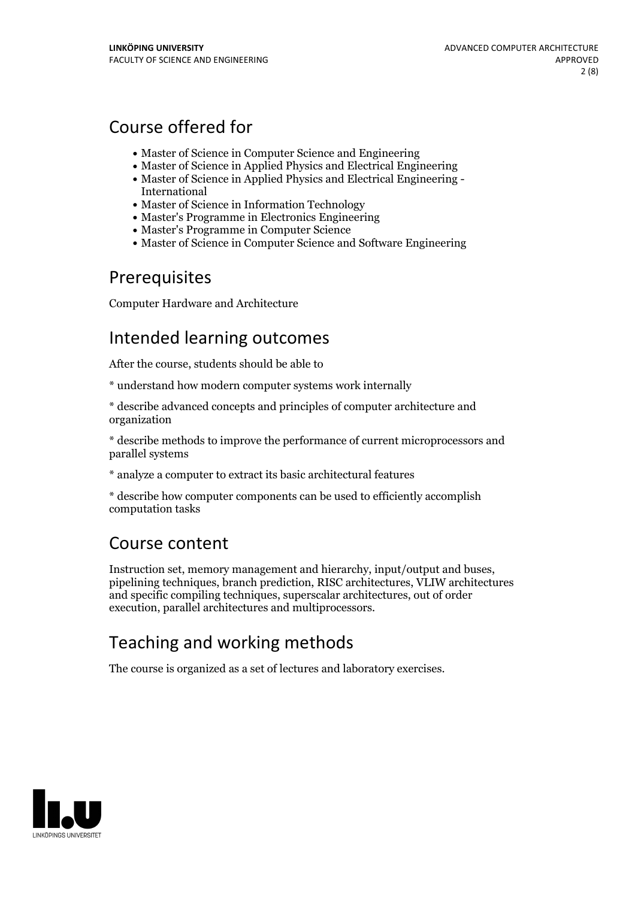# Course offered for

- Master of Science in Computer Science and Engineering
- Master of Science in Applied Physics and Electrical Engineering
- Master of Science in Applied Physics and Electrical Engineering International
- Master of Science in Information Technology
- Master's Programme in Electronics Engineering
- Master's Programme in Computer Science
- Master of Science in Computer Science and Software Engineering

## Prerequisites

Computer Hardware and Architecture

## Intended learning outcomes

After the course, students should be able to

\* understand how modern computer systems work internally

\* describe advanced concepts and principles of computer architecture and organization

\* describe methods to improve the performance of current microprocessors and parallel systems

\* analyze a computer to extract its basic architectural features

\* describe how computer components can be used to efficiently accomplish computation tasks

## Course content

Instruction set, memory management and hierarchy, input/output and buses, pipelining techniques, branch prediction, RISC architectures, VLIW architectures and specific compiling techniques, superscalar architectures, out of order execution, parallel architectures and multiprocessors.

# Teaching and working methods

The course is organized as a set of lectures and laboratory exercises.

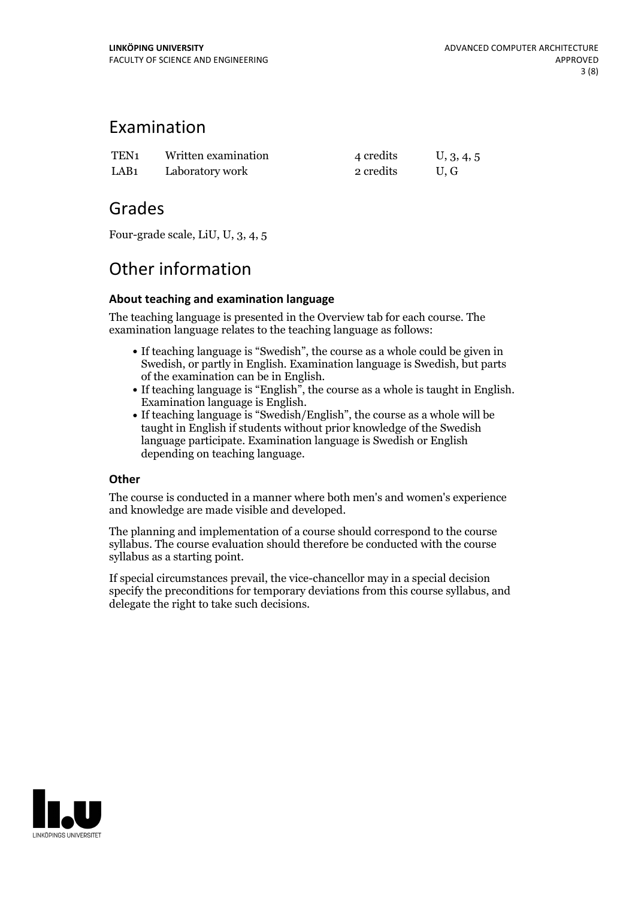## Examination

| TEN1 | Written examination | 4 credits | U, 3, 4, 5 |
|------|---------------------|-----------|------------|
| LAB1 | Laboratory work     | 2 credits | U.G        |

## Grades

Four-grade scale, LiU, U, 3, 4, 5

## Other information

### **About teaching and examination language**

The teaching language is presented in the Overview tab for each course. The examination language relates to the teaching language as follows:

- If teaching language is "Swedish", the course as a whole could be given in Swedish, or partly in English. Examination language is Swedish, but parts
- of the examination can be in English. If teaching language is "English", the course as <sup>a</sup> whole is taught in English. Examination language is English. If teaching language is "Swedish/English", the course as <sup>a</sup> whole will be
- taught in English if students without prior knowledge of the Swedish language participate. Examination language is Swedish or English depending on teaching language.

### **Other**

The course is conducted in a manner where both men's and women's experience and knowledge are made visible and developed.

The planning and implementation of a course should correspond to the course syllabus. The course evaluation should therefore be conducted with the course syllabus as a starting point.

If special circumstances prevail, the vice-chancellor may in a special decision specify the preconditions for temporary deviations from this course syllabus, and delegate the right to take such decisions.

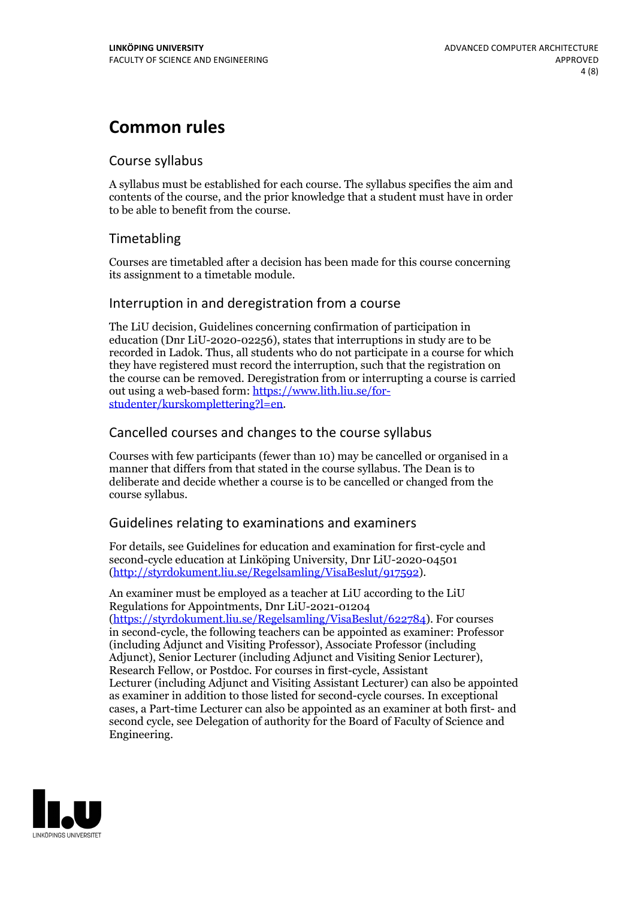## **Common rules**

### Course syllabus

A syllabus must be established for each course. The syllabus specifies the aim and contents of the course, and the prior knowledge that a student must have in order to be able to benefit from the course.

## Timetabling

Courses are timetabled after a decision has been made for this course concerning its assignment to a timetable module.

### Interruption in and deregistration from a course

The LiU decision, Guidelines concerning confirmation of participation in education (Dnr LiU-2020-02256), states that interruptions in study are to be recorded in Ladok. Thus, all students who do not participate in a course for which they have registered must record the interruption, such that the registration on the course can be removed. Deregistration from or interrupting a course is carried out using <sup>a</sup> web-based form: https://www.lith.liu.se/for- [studenter/kurskomplettering?l=en.](https://www.lith.liu.se/for-studenter/kurskomplettering?l=en)

## Cancelled courses and changes to the course syllabus

Courses with few participants (fewer than 10) may be cancelled or organised in a manner that differs from that stated in the course syllabus. The Dean is to deliberate and decide whether a course is to be cancelled or changed from the course syllabus.

## Guidelines relating to examinations and examiners

For details, see Guidelines for education and examination for first-cycle and second-cycle education at Linköping University, Dnr LiU-2020-04501 [\(http://styrdokument.liu.se/Regelsamling/VisaBeslut/917592\)](http://styrdokument.liu.se/Regelsamling/VisaBeslut/917592).

An examiner must be employed as a teacher at LiU according to the LiU Regulations for Appointments, Dnr LiU-2021-01204 [\(https://styrdokument.liu.se/Regelsamling/VisaBeslut/622784](https://styrdokument.liu.se/Regelsamling/VisaBeslut/622784)). For courses in second-cycle, the following teachers can be appointed as examiner: Professor (including Adjunct and Visiting Professor), Associate Professor (including Adjunct), Senior Lecturer (including Adjunct and Visiting Senior Lecturer), Research Fellow, or Postdoc. For courses in first-cycle, Assistant Lecturer (including Adjunct and Visiting Assistant Lecturer) can also be appointed as examiner in addition to those listed for second-cycle courses. In exceptional cases, a Part-time Lecturer can also be appointed as an examiner at both first- and second cycle, see Delegation of authority for the Board of Faculty of Science and Engineering.

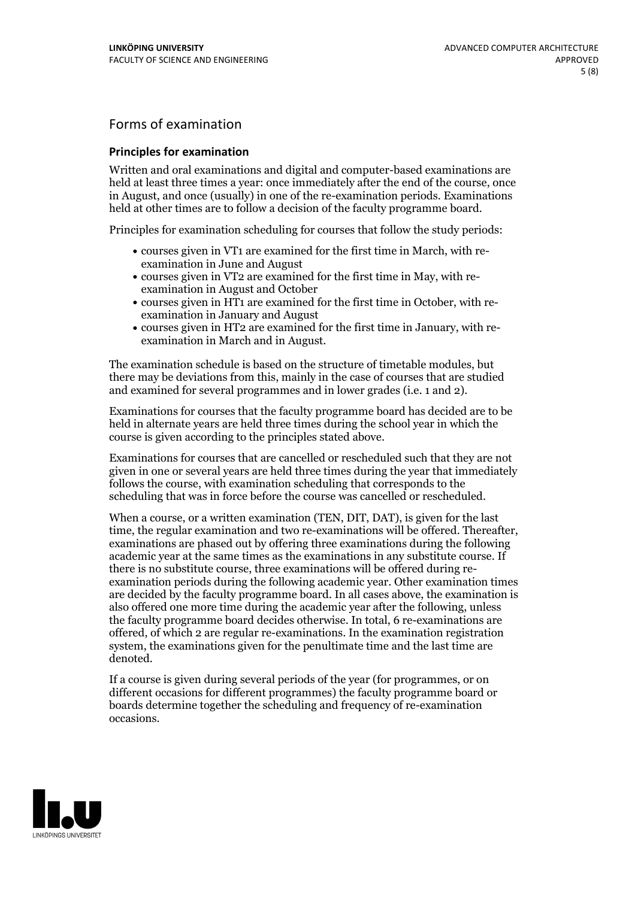## Forms of examination

#### **Principles for examination**

Written and oral examinations and digital and computer-based examinations are held at least three times a year: once immediately after the end of the course, once in August, and once (usually) in one of the re-examination periods. Examinations held at other times are to follow a decision of the faculty programme board.

Principles for examination scheduling for courses that follow the study periods:

- courses given in VT1 are examined for the first time in March, with re-examination in June and August
- courses given in VT2 are examined for the first time in May, with re-examination in August and October
- courses given in HT1 are examined for the first time in October, with re-examination in January and August
- courses given in HT2 are examined for the first time in January, with re-examination in March and in August.

The examination schedule is based on the structure of timetable modules, but there may be deviations from this, mainly in the case of courses that are studied and examined for several programmes and in lower grades (i.e. 1 and 2).

Examinations for courses that the faculty programme board has decided are to be held in alternate years are held three times during the school year in which the course is given according to the principles stated above.

Examinations for courses that are cancelled orrescheduled such that they are not given in one or several years are held three times during the year that immediately follows the course, with examination scheduling that corresponds to the scheduling that was in force before the course was cancelled or rescheduled.

When a course, or a written examination (TEN, DIT, DAT), is given for the last time, the regular examination and two re-examinations will be offered. Thereafter, examinations are phased out by offering three examinations during the following academic year at the same times as the examinations in any substitute course. If there is no substitute course, three examinations will be offered during re- examination periods during the following academic year. Other examination times are decided by the faculty programme board. In all cases above, the examination is also offered one more time during the academic year after the following, unless the faculty programme board decides otherwise. In total, 6 re-examinations are offered, of which 2 are regular re-examinations. In the examination registration system, the examinations given for the penultimate time and the last time are denoted.

If a course is given during several periods of the year (for programmes, or on different occasions for different programmes) the faculty programme board or boards determine together the scheduling and frequency of re-examination occasions.

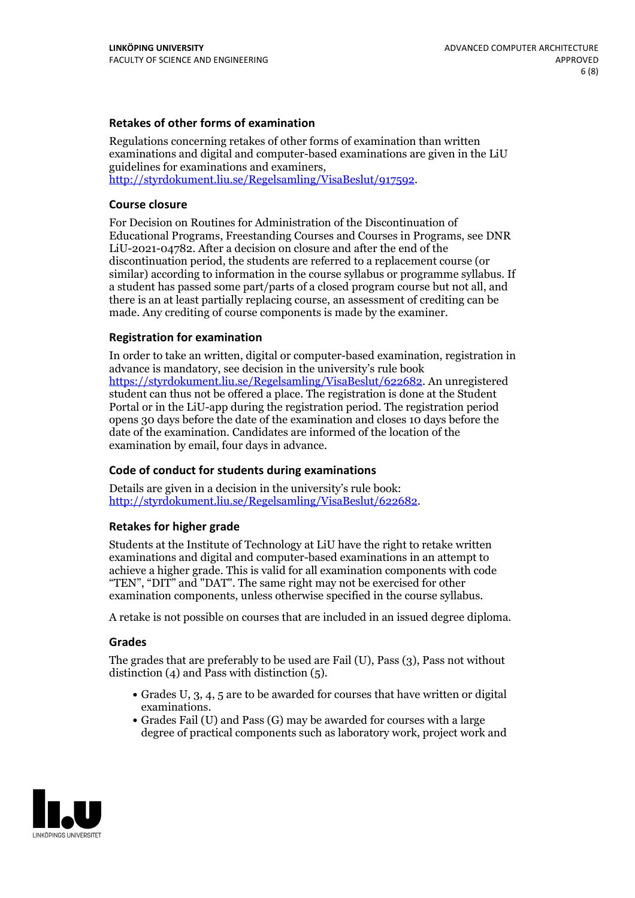### **Retakes of other forms of examination**

Regulations concerning retakes of other forms of examination than written examinations and digital and computer-based examinations are given in the LiU guidelines for examinations and examiners, [http://styrdokument.liu.se/Regelsamling/VisaBeslut/917592.](http://styrdokument.liu.se/Regelsamling/VisaBeslut/917592)

#### **Course closure**

For Decision on Routines for Administration of the Discontinuation of Educational Programs, Freestanding Courses and Courses in Programs, see DNR LiU-2021-04782. After a decision on closure and after the end of the discontinuation period, the students are referred to a replacement course (or similar) according to information in the course syllabus or programme syllabus. If a student has passed some part/parts of a closed program course but not all, and there is an at least partially replacing course, an assessment of crediting can be made. Any crediting of course components is made by the examiner.

### **Registration for examination**

In order to take an written, digital or computer-based examination, registration in advance is mandatory, see decision in the university's rule book [https://styrdokument.liu.se/Regelsamling/VisaBeslut/622682.](https://styrdokument.liu.se/Regelsamling/VisaBeslut/622682) An unregistered student can thus not be offered a place. The registration is done at the Student Portal or in the LiU-app during the registration period. The registration period opens 30 days before the date of the examination and closes 10 days before the date of the examination. Candidates are informed of the location of the examination by email, four days in advance.

### **Code of conduct for students during examinations**

Details are given in a decision in the university's rule book: <http://styrdokument.liu.se/Regelsamling/VisaBeslut/622682>.

#### **Retakes for higher grade**

Students at the Institute of Technology at LiU have the right to retake written examinations and digital and computer-based examinations in an attempt to achieve a higher grade. This is valid for all examination components with code "TEN", "DIT" and "DAT". The same right may not be exercised for other examination components, unless otherwise specified in the course syllabus.

A retake is not possible on courses that are included in an issued degree diploma.

#### **Grades**

The grades that are preferably to be used are Fail (U), Pass (3), Pass not without distinction  $(4)$  and Pass with distinction  $(5)$ .

- Grades U, 3, 4, 5 are to be awarded for courses that have written or digital examinations.<br>• Grades Fail (U) and Pass (G) may be awarded for courses with a large
- degree of practical components such as laboratory work, project work and

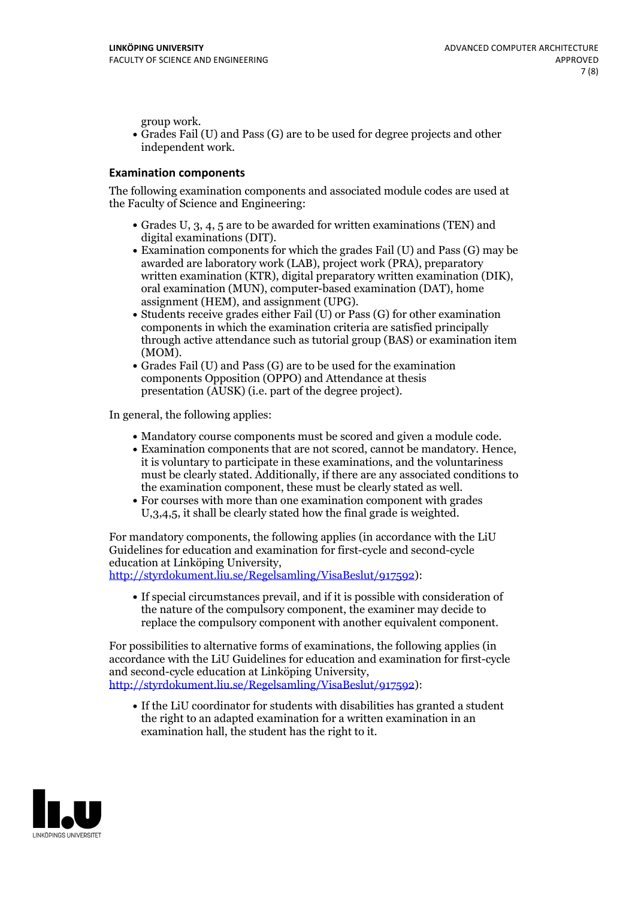group work.<br>• Grades Fail (U) and Pass (G) are to be used for degree projects and other independent work.

#### **Examination components**

The following examination components and associated module codes are used at the Faculty of Science and Engineering:

- Grades U, 3, 4, 5 are to be awarded for written examinations (TEN) and
- digital examinations (DIT).<br>• Examination components for which the grades Fail (U) and Pass (G) may be awarded are laboratory work (LAB), project work (PRA), preparatory written examination (KTR), digital preparatory written examination (DIK), oral examination (MUN), computer-based examination (DAT), home
- assignment (HEM), and assignment (UPG).<br>• Students receive grades either Fail (U) or Pass (G) for other examination components in which the examination criteria are satisfied principally through active attendance such as tutorial group (BAS) or examination item
- (MOM).<br>• Grades Fail (U) and Pass (G) are to be used for the examination components Opposition (OPPO) and Attendance at thesis presentation (AUSK) (i.e. part of the degree project).

In general, the following applies:

- 
- Mandatory course components must be scored and given <sup>a</sup> module code. Examination components that are not scored, cannot be mandatory. Hence, it is voluntary to participate in these examinations, and the voluntariness must be clearly stated. Additionally, if there are any associated conditions to
- the examination component, these must be clearly stated as well.<br>• For courses with more than one examination component with grades U,3,4,5, it shall be clearly stated how the final grade is weighted.

For mandatory components, the following applies (in accordance with the LiU Guidelines for education and examination for first-cycle and second-cycle education at Linköping University,<br>[http://styrdokument.liu.se/Regelsamling/VisaBeslut/917592\)](http://styrdokument.liu.se/Regelsamling/VisaBeslut/917592):

If special circumstances prevail, and if it is possible with consideration of the nature of the compulsory component, the examiner may decide to replace the compulsory component with another equivalent component.

For possibilities to alternative forms of examinations, the following applies (in accordance with the LiU Guidelines for education and examination for first-cycle [http://styrdokument.liu.se/Regelsamling/VisaBeslut/917592\)](http://styrdokument.liu.se/Regelsamling/VisaBeslut/917592):

If the LiU coordinator for students with disabilities has granted a student the right to an adapted examination for a written examination in an examination hall, the student has the right to it.